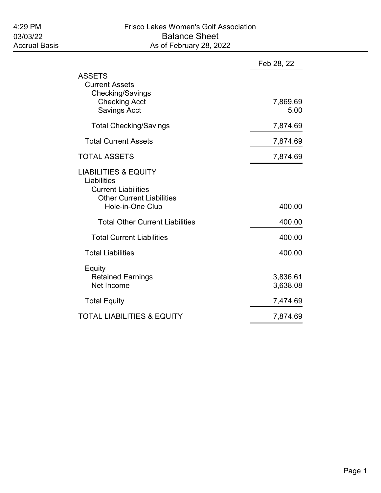|                                                                                                                                      | Feb 28, 22           |
|--------------------------------------------------------------------------------------------------------------------------------------|----------------------|
| <b>ASSETS</b><br><b>Current Assets</b><br>Checking/Savings<br><b>Checking Acct</b><br><b>Savings Acct</b>                            | 7,869.69<br>5.00     |
| <b>Total Checking/Savings</b>                                                                                                        | 7,874.69             |
| <b>Total Current Assets</b>                                                                                                          | 7,874.69             |
| <b>TOTAL ASSETS</b>                                                                                                                  | 7,874.69             |
| <b>LIABILITIES &amp; EQUITY</b><br>Liabilities<br><b>Current Liabilities</b><br><b>Other Current Liabilities</b><br>Hole-in-One Club | 400.00               |
| <b>Total Other Current Liabilities</b>                                                                                               | 400.00               |
| <b>Total Current Liabilities</b>                                                                                                     | 400.00               |
| <b>Total Liabilities</b>                                                                                                             | 400.00               |
| Equity<br><b>Retained Earnings</b><br>Net Income                                                                                     | 3,836.61<br>3,638.08 |
| <b>Total Equity</b>                                                                                                                  | 7,474.69             |
| <b>TOTAL LIABILITIES &amp; EQUITY</b>                                                                                                | 7,874.69             |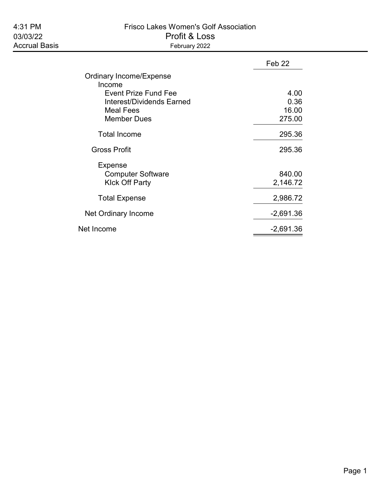# 4:31 PM Frisco Lakes Women's Golf Association 03/03/22 Profit & Loss

|                                   | Feb <sub>22</sub> |
|-----------------------------------|-------------------|
| Ordinary Income/Expense<br>Income |                   |
| Event Prize Fund Fee              | 4.00              |
| Interest/Dividends Earned         | 0.36              |
| <b>Meal Fees</b>                  | 16.00             |
| <b>Member Dues</b>                | 275.00            |
| <b>Total Income</b>               | 295.36            |
| <b>Gross Profit</b>               | 295.36            |
| Expense                           |                   |
| <b>Computer Software</b>          | 840.00            |
| <b>Klck Off Party</b>             | 2,146.72          |
| <b>Total Expense</b>              | 2,986.72          |
| Net Ordinary Income               | $-2,691.36$       |
| Net Income                        | $-2,691.36$       |
|                                   |                   |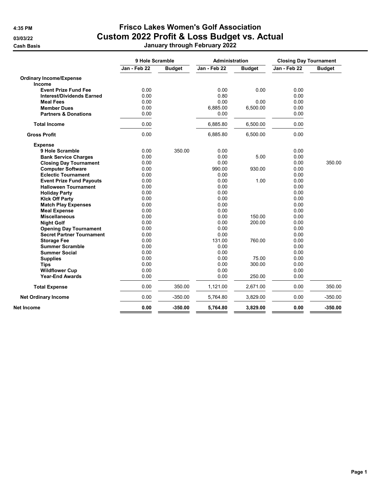|                                  | 9 Hole Scramble |               | Administration |               | <b>Closing Day Tournament</b> |               |
|----------------------------------|-----------------|---------------|----------------|---------------|-------------------------------|---------------|
|                                  | Jan - Feb 22    | <b>Budget</b> | Jan - Feb 22   | <b>Budget</b> | Jan - Feb 22                  | <b>Budget</b> |
| <b>Ordinary Income/Expense</b>   |                 |               |                |               |                               |               |
| Income                           |                 |               |                |               |                               |               |
| <b>Event Prize Fund Fee</b>      | 0.00            |               | 0.00           | 0.00          | 0.00                          |               |
| <b>Interest/Dividends Earned</b> | 0.00            |               | 0.80           |               | 0.00                          |               |
| <b>Meal Fees</b>                 | 0.00            |               | 0.00           | 0.00          | 0.00                          |               |
| <b>Member Dues</b>               | 0.00            |               | 6,885.00       | 6,500.00      | 0.00                          |               |
| <b>Partners &amp; Donations</b>  | 0.00            |               | 0.00           |               | 0.00                          |               |
| <b>Total Income</b>              | 0.00            |               | 6,885.80       | 6,500.00      | 0.00                          |               |
| <b>Gross Profit</b>              | 0.00            |               | 6,885.80       | 6,500.00      | 0.00                          |               |
| <b>Expense</b>                   |                 |               |                |               |                               |               |
| 9 Hole Scramble                  | 0.00            | 350.00        | 0.00           |               | 0.00                          |               |
| <b>Bank Service Charges</b>      | 0.00            |               | 0.00           | 5.00          | 0.00                          |               |
| <b>Closing Day Tournament</b>    | 0.00            |               | 0.00           |               | 0.00                          | 350.00        |
| <b>Computer Software</b>         | 0.00            |               | 990.00         | 930.00        | 0.00                          |               |
| <b>Eclectic Tournament</b>       | 0.00            |               | 0.00           |               | 0.00                          |               |
| <b>Event Prize Fund Payouts</b>  | 0.00            |               | 0.00           | 1.00          | 0.00                          |               |
| <b>Halloween Tournament</b>      | 0.00            |               | 0.00           |               | 0.00                          |               |
| <b>Holiday Party</b>             | 0.00            |               | 0.00           |               | 0.00                          |               |
| <b>Kick Off Party</b>            | 0.00            |               | 0.00           |               | 0.00                          |               |
| <b>Match Play Expenses</b>       | 0.00            |               | 0.00           |               | 0.00                          |               |
| <b>Meal Expense</b>              | 0.00            |               | 0.00           |               | 0.00                          |               |
| <b>Miscellaneous</b>             | 0.00            |               | 0.00           | 150.00        | 0.00                          |               |
| <b>Night Golf</b>                | 0.00            |               | 0.00           | 200.00        | 0.00                          |               |
| <b>Opening Day Tournament</b>    | 0.00            |               | 0.00           |               | 0.00                          |               |
| <b>Secret Partner Tournament</b> | 0.00            |               | 0.00           |               | 0.00                          |               |
| <b>Storage Fee</b>               | 0.00            |               | 131.00         | 760.00        | 0.00                          |               |
| <b>Summer Scramble</b>           | 0.00            |               | 0.00           |               | 0.00                          |               |
| <b>Summer Social</b>             | 0.00            |               | 0.00           |               | 0.00                          |               |
| <b>Supplies</b>                  | 0.00            |               | 0.00           | 75.00         | 0.00                          |               |
| <b>Tips</b>                      | 0.00            |               | 0.00           | 300.00        | 0.00                          |               |
| <b>Wildflower Cup</b>            | 0.00            |               | 0.00           |               | 0.00                          |               |
| <b>Year-End Awards</b>           | 0.00            |               | 0.00           | 250.00        | 0.00                          |               |
| <b>Total Expense</b>             | 0.00            | 350.00        | 1,121.00       | 2,671.00      | 0.00                          | 350.00        |
| <b>Net Ordinary Income</b>       | 0.00            | $-350.00$     | 5,764.80       | 3,829.00      | 0.00                          | $-350.00$     |
| Net Income                       | 0.00            | $-350.00$     | 5,764.80       | 3,829.00      | 0.00                          | $-350.00$     |
|                                  |                 |               |                |               |                               |               |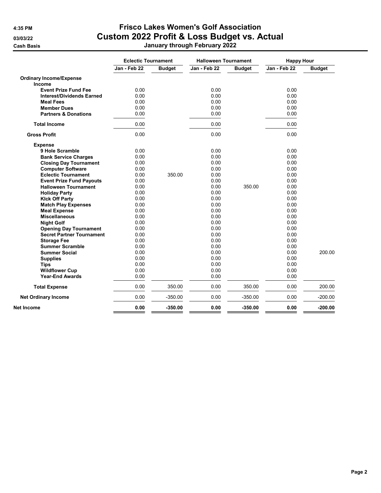|                                  | <b>Eclectic Tournament</b> |               | <b>Halloween Tournament</b> |               | <b>Happy Hour</b> |               |
|----------------------------------|----------------------------|---------------|-----------------------------|---------------|-------------------|---------------|
|                                  | Jan - Feb 22               | <b>Budget</b> | Jan - Feb 22                | <b>Budget</b> | Jan - Feb 22      | <b>Budget</b> |
| <b>Ordinary Income/Expense</b>   |                            |               |                             |               |                   |               |
| <b>Income</b>                    |                            |               |                             |               |                   |               |
| <b>Event Prize Fund Fee</b>      | 0.00                       |               | 0.00                        |               | 0.00              |               |
| <b>Interest/Dividends Earned</b> | 0.00                       |               | 0.00                        |               | 0.00              |               |
| <b>Meal Fees</b>                 | 0.00                       |               | 0.00                        |               | 0.00              |               |
| <b>Member Dues</b>               | 0.00                       |               | 0.00                        |               | 0.00              |               |
| <b>Partners &amp; Donations</b>  | 0.00                       |               | 0.00                        |               | 0.00              |               |
| <b>Total Income</b>              | 0.00                       |               | 0.00                        |               | 0.00              |               |
| <b>Gross Profit</b>              | 0.00                       |               | 0.00                        |               | 0.00              |               |
| <b>Expense</b>                   |                            |               |                             |               |                   |               |
| 9 Hole Scramble                  | 0.00                       |               | 0.00                        |               | 0.00              |               |
| <b>Bank Service Charges</b>      | 0.00                       |               | 0.00                        |               | 0.00              |               |
| <b>Closing Day Tournament</b>    | 0.00                       |               | 0.00                        |               | 0.00              |               |
| <b>Computer Software</b>         | 0.00                       |               | 0.00                        |               | 0.00              |               |
| <b>Eclectic Tournament</b>       | 0.00                       | 350.00        | 0.00                        |               | 0.00              |               |
| <b>Event Prize Fund Payouts</b>  | 0.00                       |               | 0.00                        |               | 0.00              |               |
| <b>Halloween Tournament</b>      | 0.00                       |               | 0.00                        | 350.00        | 0.00              |               |
| <b>Holiday Party</b>             | 0.00                       |               | 0.00                        |               | 0.00              |               |
| <b>Kick Off Party</b>            | 0.00                       |               | 0.00                        |               | 0.00              |               |
| <b>Match Play Expenses</b>       | 0.00                       |               | 0.00                        |               | 0.00              |               |
| <b>Meal Expense</b>              | 0.00                       |               | 0.00                        |               | 0.00              |               |
| <b>Miscellaneous</b>             | 0.00                       |               | 0.00                        |               | 0.00              |               |
| <b>Night Golf</b>                | 0.00                       |               | 0.00                        |               | 0.00              |               |
| <b>Opening Day Tournament</b>    | 0.00                       |               | 0.00                        |               | 0.00              |               |
| <b>Secret Partner Tournament</b> | 0.00                       |               | 0.00                        |               | 0.00              |               |
| <b>Storage Fee</b>               | 0.00                       |               | 0.00                        |               | 0.00              |               |
| <b>Summer Scramble</b>           | 0.00                       |               | 0.00                        |               | 0.00              |               |
| <b>Summer Social</b>             | 0.00                       |               | 0.00                        |               | 0.00              | 200.00        |
| <b>Supplies</b>                  | 0.00                       |               | 0.00                        |               | 0.00              |               |
| <b>Tips</b>                      | 0.00                       |               | 0.00                        |               | 0.00              |               |
| <b>Wildflower Cup</b>            | 0.00                       |               | 0.00                        |               | 0.00              |               |
| <b>Year-End Awards</b>           | 0.00                       |               | 0.00                        |               | 0.00              |               |
| <b>Total Expense</b>             | 0.00                       | 350.00        | 0.00                        | 350.00        | 0.00              | 200.00        |
| <b>Net Ordinary Income</b>       | 0.00                       | $-350.00$     | 0.00                        | $-350.00$     | 0.00              | $-200.00$     |
| Net Income                       | 0.00                       | $-350.00$     | 0.00                        | $-350.00$     | 0.00              | $-200.00$     |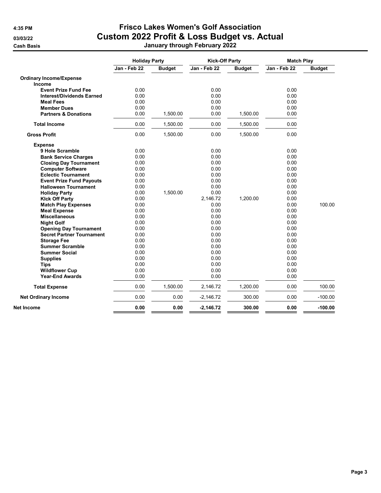|                                  | <b>Holiday Party</b> |               | <b>Kick-Off Party</b> |               | <b>Match Play</b> |               |
|----------------------------------|----------------------|---------------|-----------------------|---------------|-------------------|---------------|
|                                  | Jan - Feb 22         | <b>Budget</b> | Jan - Feb 22          | <b>Budget</b> | Jan - Feb 22      | <b>Budget</b> |
| <b>Ordinary Income/Expense</b>   |                      |               |                       |               |                   |               |
| Income                           |                      |               |                       |               |                   |               |
| <b>Event Prize Fund Fee</b>      | 0.00                 |               | 0.00                  |               | 0.00              |               |
| <b>Interest/Dividends Earned</b> | 0.00                 |               | 0.00                  |               | 0.00              |               |
| <b>Meal Fees</b>                 | 0.00                 |               | 0.00                  |               | 0.00              |               |
| <b>Member Dues</b>               | 0.00                 |               | 0.00                  |               | 0.00              |               |
| <b>Partners &amp; Donations</b>  | 0.00                 | 1,500.00      | 0.00                  | 1,500.00      | 0.00              |               |
| <b>Total Income</b>              | 0.00                 | 1,500.00      | 0.00                  | 1,500.00      | 0.00              |               |
| <b>Gross Profit</b>              | 0.00                 | 1,500.00      | 0.00                  | 1,500.00      | 0.00              |               |
| <b>Expense</b>                   |                      |               |                       |               |                   |               |
| 9 Hole Scramble                  | 0.00                 |               | 0.00                  |               | 0.00              |               |
| <b>Bank Service Charges</b>      | 0.00                 |               | 0.00                  |               | 0.00              |               |
| <b>Closing Day Tournament</b>    | 0.00                 |               | 0.00                  |               | 0.00              |               |
| <b>Computer Software</b>         | 0.00                 |               | 0.00                  |               | 0.00              |               |
| <b>Eclectic Tournament</b>       | 0.00                 |               | 0.00                  |               | 0.00              |               |
| <b>Event Prize Fund Payouts</b>  | 0.00                 |               | 0.00                  |               | 0.00              |               |
| <b>Halloween Tournament</b>      | 0.00                 |               | 0.00                  |               | 0.00              |               |
| <b>Holiday Party</b>             | 0.00                 | 1,500.00      | 0.00                  |               | 0.00              |               |
| <b>Kick Off Party</b>            | 0.00                 |               | 2,146.72              | 1,200.00      | 0.00              |               |
| <b>Match Play Expenses</b>       | 0.00                 |               | 0.00                  |               | 0.00              | 100.00        |
| <b>Meal Expense</b>              | 0.00                 |               | 0.00                  |               | 0.00              |               |
| <b>Miscellaneous</b>             | 0.00                 |               | 0.00                  |               | 0.00              |               |
| <b>Night Golf</b>                | 0.00                 |               | 0.00                  |               | 0.00              |               |
| <b>Opening Day Tournament</b>    | 0.00                 |               | 0.00                  |               | 0.00              |               |
| <b>Secret Partner Tournament</b> | 0.00                 |               | 0.00                  |               | 0.00              |               |
| <b>Storage Fee</b>               | 0.00                 |               | 0.00                  |               | 0.00              |               |
| <b>Summer Scramble</b>           | 0.00                 |               | 0.00                  |               | 0.00              |               |
| <b>Summer Social</b>             | 0.00                 |               | 0.00                  |               | 0.00              |               |
| <b>Supplies</b>                  | 0.00                 |               | 0.00                  |               | 0.00              |               |
| <b>Tips</b>                      | 0.00                 |               | 0.00                  |               | 0.00              |               |
| <b>Wildflower Cup</b>            | 0.00                 |               | 0.00                  |               | 0.00              |               |
| <b>Year-End Awards</b>           | 0.00                 |               | 0.00                  |               | 0.00              |               |
| <b>Total Expense</b>             | 0.00                 | 1,500.00      | 2,146.72              | 1,200.00      | 0.00              | 100.00        |
| <b>Net Ordinary Income</b>       | 0.00                 | 0.00          | $-2,146.72$           | 300.00        | 0.00              | $-100.00$     |
|                                  |                      |               |                       |               |                   | $-100.00$     |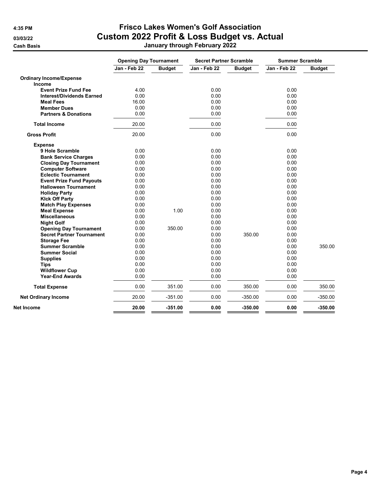|                                  | <b>Opening Day Tournament</b> |               | <b>Secret Partner Scramble</b> |               | <b>Summer Scramble</b> |               |
|----------------------------------|-------------------------------|---------------|--------------------------------|---------------|------------------------|---------------|
|                                  | Jan - Feb 22                  | <b>Budget</b> | Jan - Feb 22                   | <b>Budget</b> | Jan - Feb 22           | <b>Budget</b> |
| <b>Ordinary Income/Expense</b>   |                               |               |                                |               |                        |               |
| <b>Income</b>                    |                               |               |                                |               |                        |               |
| <b>Event Prize Fund Fee</b>      | 4.00                          |               | 0.00                           |               | 0.00                   |               |
| <b>Interest/Dividends Earned</b> | 0.00                          |               | 0.00                           |               | 0.00                   |               |
| <b>Meal Fees</b>                 | 16.00                         |               | 0.00                           |               | 0.00                   |               |
| <b>Member Dues</b>               | 0.00                          |               | 0.00                           |               | 0.00                   |               |
| <b>Partners &amp; Donations</b>  | 0.00                          |               | 0.00                           |               | 0.00                   |               |
| <b>Total Income</b>              | 20.00                         |               | 0.00                           |               | 0.00                   |               |
| <b>Gross Profit</b>              | 20.00                         |               | 0.00                           |               | 0.00                   |               |
| <b>Expense</b>                   |                               |               |                                |               |                        |               |
| 9 Hole Scramble                  | 0.00                          |               | 0.00                           |               | 0.00                   |               |
| <b>Bank Service Charges</b>      | 0.00                          |               | 0.00                           |               | 0.00                   |               |
| <b>Closing Day Tournament</b>    | 0.00                          |               | 0.00                           |               | 0.00                   |               |
| <b>Computer Software</b>         | 0.00                          |               | 0.00                           |               | 0.00                   |               |
| <b>Eclectic Tournament</b>       | 0.00                          |               | 0.00                           |               | 0.00                   |               |
| <b>Event Prize Fund Payouts</b>  | 0.00                          |               | 0.00                           |               | 0.00                   |               |
| <b>Halloween Tournament</b>      | 0.00                          |               | 0.00                           |               | 0.00                   |               |
| <b>Holiday Party</b>             | 0.00                          |               | 0.00                           |               | 0.00                   |               |
| <b>Kick Off Party</b>            | 0.00                          |               | 0.00                           |               | 0.00                   |               |
| <b>Match Play Expenses</b>       | 0.00                          |               | 0.00                           |               | 0.00                   |               |
| <b>Meal Expense</b>              | 0.00                          | 1.00          | 0.00                           |               | 0.00                   |               |
| <b>Miscellaneous</b>             | 0.00                          |               | 0.00                           |               | 0.00                   |               |
| <b>Night Golf</b>                | 0.00                          |               | 0.00                           |               | 0.00                   |               |
| <b>Opening Day Tournament</b>    | 0.00                          | 350.00        | 0.00                           |               | 0.00                   |               |
| <b>Secret Partner Tournament</b> | 0.00                          |               | 0.00                           | 350.00        | 0.00                   |               |
| <b>Storage Fee</b>               | 0.00                          |               | 0.00                           |               | 0.00                   |               |
| <b>Summer Scramble</b>           | 0.00                          |               | 0.00                           |               | 0.00                   | 350.00        |
| <b>Summer Social</b>             | 0.00                          |               | 0.00                           |               | 0.00                   |               |
| <b>Supplies</b>                  | 0.00                          |               | 0.00                           |               | 0.00                   |               |
| <b>Tips</b>                      | 0.00                          |               | 0.00                           |               | 0.00                   |               |
| <b>Wildflower Cup</b>            | 0.00                          |               | 0.00                           |               | 0.00                   |               |
| <b>Year-End Awards</b>           | 0.00                          |               | 0.00                           |               | 0.00                   |               |
| <b>Total Expense</b>             | 0.00                          | 351.00        | 0.00                           | 350.00        | 0.00                   | 350.00        |
| <b>Net Ordinary Income</b>       | 20.00                         | $-351.00$     | 0.00                           | $-350.00$     | 0.00                   | $-350.00$     |
| Net Income                       | 20.00                         | $-351.00$     | 0.00                           | $-350.00$     | 0.00                   | $-350.00$     |
|                                  |                               |               |                                |               |                        |               |